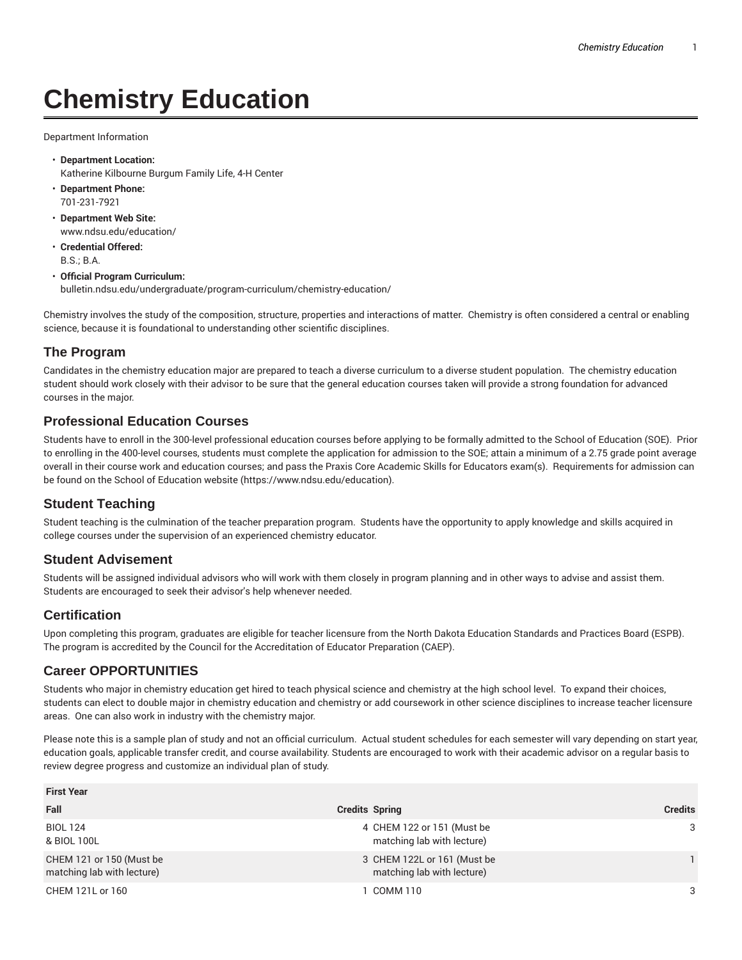# **Chemistry Education**

Department Information

- **Department Location:** Katherine Kilbourne Burgum Family Life, 4-H Center
- **Department Phone:** 701-231-7921
- **Department Web Site:** www.ndsu.edu/education/
- **Credential Offered:** B.S.; B.A.
- **Official Program Curriculum:** bulletin.ndsu.edu/undergraduate/program-curriculum/chemistry-education/

Chemistry involves the study of the composition, structure, properties and interactions of matter. Chemistry is often considered a central or enabling science, because it is foundational to understanding other scientific disciplines.

## **The Program**

Candidates in the chemistry education major are prepared to teach a diverse curriculum to a diverse student population. The chemistry education student should work closely with their advisor to be sure that the general education courses taken will provide a strong foundation for advanced courses in the major.

#### **Professional Education Courses**

Students have to enroll in the 300-level professional education courses before applying to be formally admitted to the School of Education (SOE). Prior to enrolling in the 400-level courses, students must complete the application for admission to the SOE; attain a minimum of a 2.75 grade point average overall in their course work and education courses; and pass the Praxis Core Academic Skills for Educators exam(s). Requirements for admission can be found on the School of Education website (https://www.ndsu.edu/education).

## **Student Teaching**

Student teaching is the culmination of the teacher preparation program. Students have the opportunity to apply knowledge and skills acquired in college courses under the supervision of an experienced chemistry educator.

#### **Student Advisement**

Students will be assigned individual advisors who will work with them closely in program planning and in other ways to advise and assist them. Students are encouraged to seek their advisor's help whenever needed.

#### **Certification**

Upon completing this program, graduates are eligible for teacher licensure from the North Dakota Education Standards and Practices Board (ESPB). The program is accredited by the Council for the Accreditation of Educator Preparation (CAEP).

## **Career OPPORTUNITIES**

Students who major in chemistry education get hired to teach physical science and chemistry at the high school level. To expand their choices, students can elect to double major in chemistry education and chemistry or add coursework in other science disciplines to increase teacher licensure areas. One can also work in industry with the chemistry major.

Please note this is a sample plan of study and not an official curriculum. Actual student schedules for each semester will vary depending on start year, education goals, applicable transfer credit, and course availability. Students are encouraged to work with their academic advisor on a regular basis to review degree progress and customize an individual plan of study.

| <b>First Year</b>                                      |                                                           |                |  |
|--------------------------------------------------------|-----------------------------------------------------------|----------------|--|
| Fall                                                   | <b>Credits Spring</b>                                     | <b>Credits</b> |  |
| <b>BIOL 124</b><br>& BIOL 100L                         | 4 CHEM 122 or 151 (Must be<br>matching lab with lecture)  | 3              |  |
| CHEM 121 or 150 (Must be<br>matching lab with lecture) | 3 CHEM 122L or 161 (Must be<br>matching lab with lecture) |                |  |
| CHEM 121L or 160                                       | I COMM 110                                                | 3              |  |